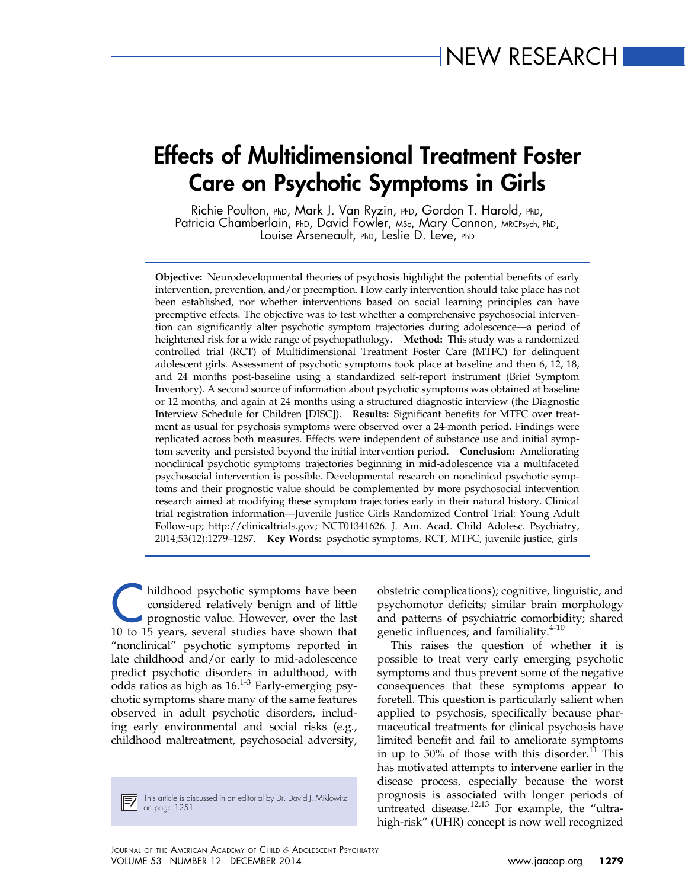# Effects of Multidimensional Treatment Foster Care on Psychotic Symptoms in Girls

Richie Poulton, PhD, Mark J. Van Ryzin, PhD, Gordon T. Harold, PhD, Patricia Chamberlain, PhD, David Fowler, MSc, Mary Cannon, MRCPsych, PhD, Louise Arseneault, PhD, Leslie D. Leve, PhD

Objective: Neurodevelopmental theories of psychosis highlight the potential benefits of early intervention, prevention, and/or preemption. How early intervention should take place has not been established, nor whether interventions based on social learning principles can have preemptive effects. The objective was to test whether a comprehensive psychosocial intervention can significantly alter psychotic symptom trajectories during adolescence—a period of heightened risk for a wide range of psychopathology. Method: This study was a randomized controlled trial (RCT) of Multidimensional Treatment Foster Care (MTFC) for delinquent adolescent girls. Assessment of psychotic symptoms took place at baseline and then 6, 12, 18, and 24 months post-baseline using a standardized self-report instrument (Brief Symptom Inventory). A second source of information about psychotic symptoms was obtained at baseline or 12 months, and again at 24 months using a structured diagnostic interview (the Diagnostic Interview Schedule for Children [DISC]). Results: Significant benefits for MTFC over treatment as usual for psychosis symptoms were observed over a 24-month period. Findings were replicated across both measures. Effects were independent of substance use and initial symptom severity and persisted beyond the initial intervention period. Conclusion: Ameliorating nonclinical psychotic symptoms trajectories beginning in mid-adolescence via a multifaceted psychosocial intervention is possible. Developmental research on nonclinical psychotic symptoms and their prognostic value should be complemented by more psychosocial intervention research aimed at modifying these symptom trajectories early in their natural history. Clinical trial registration information—Juvenile Justice Girls Randomized Control Trial: Young Adult Follow-up;<http://clinicaltrials.gov>; NCT01341626. J. Am. Acad. Child Adolesc. Psychiatry, 2014;53(12):1279–1287. Key Words: psychotic symptoms, RCT, MTFC, juvenile justice, girls

hildhood psychotic symptoms have been<br>considered relatively benign and of little<br>prognostic value. However, over the last<br>10 to 15 years, several studies have shown that considered relatively benign and of little prognostic value. However, over the last 10 to 15 years, several studies have shown that "nonclinical" psychotic symptoms reported in late childhood and/or early to mid-adolescence predict psychotic disorders in adulthood, with odds ratios as high as  $16^{1-3}$  $16^{1-3}$  $16^{1-3}$  Early-emerging psychotic symptoms share many of the same features observed in adult psychotic disorders, including early environmental and social risks (e.g., childhood maltreatment, psychosocial adversity,

This article is discussed in an editorial by Dr. David J. Miklowitz This arricle is use.

obstetric complications); cognitive, linguistic, and psychomotor deficits; similar brain morphology and patterns of psychiatric comorbidity; shared genetic influences; and familiality.<sup>[4-10](#page-7-0)</sup>

This raises the question of whether it is possible to treat very early emerging psychotic symptoms and thus prevent some of the negative consequences that these symptoms appear to foretell. This question is particularly salient when applied to psychosis, specifically because pharmaceutical treatments for clinical psychosis have limited benefit and fail to ameliorate symptoms in up to 50% of those with this disorder. $^{11}$  $^{11}$  $^{11}$  This has motivated attempts to intervene earlier in the disease process, especially because the worst prognosis is associated with longer periods of untreated disease. $12,13}$  $12,13}$  For example, the "ultrahigh-risk" (UHR) concept is now well recognized

JOURNAL OF THE AMERICAN ACADEMY OF CHILD & ADOLESCENT PSYCHIATRY VOLUME 53 NUMBER 12 DECEMBER 2014 [www.jaacap.org](http://www.jaacap.org) 1279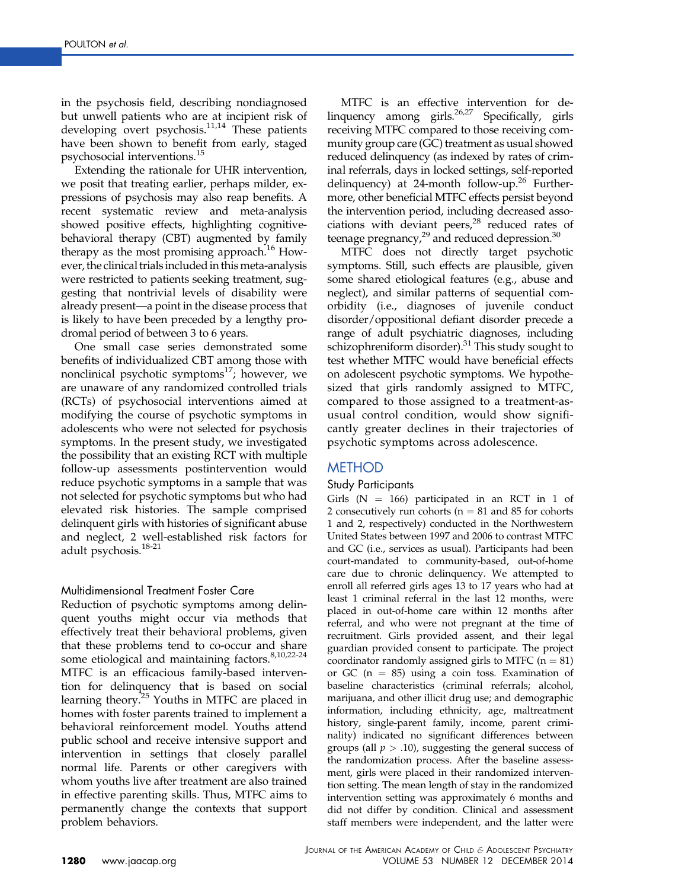in the psychosis field, describing nondiagnosed but unwell patients who are at incipient risk of developing overt psychosis.<sup>11,14</sup> These patients have been shown to benefit from early, staged psychosocial interventions.<sup>[15](#page-7-0)</sup>

Extending the rationale for UHR intervention, we posit that treating earlier, perhaps milder, expressions of psychosis may also reap benefits. A recent systematic review and meta-analysis showed positive effects, highlighting cognitivebehavioral therapy (CBT) augmented by family therapy as the most promising approach.<sup>[16](#page-7-0)</sup> However, the clinical trialsincludedin thismeta-analysis were restricted to patients seeking treatment, suggesting that nontrivial levels of disability were already present—a point in the disease process that is likely to have been preceded by a lengthy prodromal period of between 3 to 6 years.

One small case series demonstrated some benefits of individualized CBT among those with nonclinical psychotic symptoms $^{17}$  $^{17}$  $^{17}$ ; however, we are unaware of any randomized controlled trials (RCTs) of psychosocial interventions aimed at modifying the course of psychotic symptoms in adolescents who were not selected for psychosis symptoms. In the present study, we investigated the possibility that an existing RCT with multiple follow-up assessments postintervention would reduce psychotic symptoms in a sample that was not selected for psychotic symptoms but who had elevated risk histories. The sample comprised delinquent girls with histories of significant abuse and neglect, 2 well-established risk factors for adult psychosis.[18-21](#page-7-0)

#### Multidimensional Treatment Foster Care

Reduction of psychotic symptoms among delinquent youths might occur via methods that effectively treat their behavioral problems, given that these problems tend to co-occur and share some etiological and maintaining factors.<sup>[8,10,22-24](#page-7-0)</sup> MTFC is an efficacious family-based intervention for delinquency that is based on social learning theory.<sup>[25](#page-7-0)</sup> Youths in MTFC are placed in homes with foster parents trained to implement a behavioral reinforcement model. Youths attend public school and receive intensive support and intervention in settings that closely parallel normal life. Parents or other caregivers with whom youths live after treatment are also trained in effective parenting skills. Thus, MTFC aims to permanently change the contexts that support problem behaviors.

MTFC is an effective intervention for delinquency among girls.<sup>26,27</sup> Specifically, girls receiving MTFC compared to those receiving community group care (GC) treatment as usual showed reduced delinquency (as indexed by rates of criminal referrals, days in locked settings, self-reported delinquency) at 24-month follow-up.<sup>26</sup> Furthermore, other beneficial MTFC effects persist beyond the intervention period, including decreased associations with deviant peers,<sup>28</sup> reduced rates of teenage pregnancy, $^{29}$  and reduced depression. $^{30}$ 

MTFC does not directly target psychotic symptoms. Still, such effects are plausible, given some shared etiological features (e.g., abuse and neglect), and similar patterns of sequential comorbidity (i.e., diagnoses of juvenile conduct disorder/oppositional defiant disorder precede a range of adult psychiatric diagnoses, including schizophreniform disorder).<sup>31</sup> This study sought to test whether MTFC would have beneficial effects on adolescent psychotic symptoms. We hypothesized that girls randomly assigned to MTFC, compared to those assigned to a treatment-asusual control condition, would show significantly greater declines in their trajectories of psychotic symptoms across adolescence.

# METHOD

## Study Participants

Girls  $(N = 166)$  participated in an RCT in 1 of 2 consecutively run cohorts ( $n = 81$  and 85 for cohorts 1 and 2, respectively) conducted in the Northwestern United States between 1997 and 2006 to contrast MTFC and GC (i.e., services as usual). Participants had been court-mandated to community-based, out-of-home care due to chronic delinquency. We attempted to enroll all referred girls ages 13 to 17 years who had at least 1 criminal referral in the last 12 months, were placed in out-of-home care within 12 months after referral, and who were not pregnant at the time of recruitment. Girls provided assent, and their legal guardian provided consent to participate. The project coordinator randomly assigned girls to MTFC  $(n = 81)$ or GC ( $n = 85$ ) using a coin toss. Examination of baseline characteristics (criminal referrals; alcohol, marijuana, and other illicit drug use; and demographic information, including ethnicity, age, maltreatment history, single-parent family, income, parent criminality) indicated no significant differences between groups (all  $p > .10$ ), suggesting the general success of the randomization process. After the baseline assessment, girls were placed in their randomized intervention setting. The mean length of stay in the randomized intervention setting was approximately 6 months and did not differ by condition. Clinical and assessment staff members were independent, and the latter were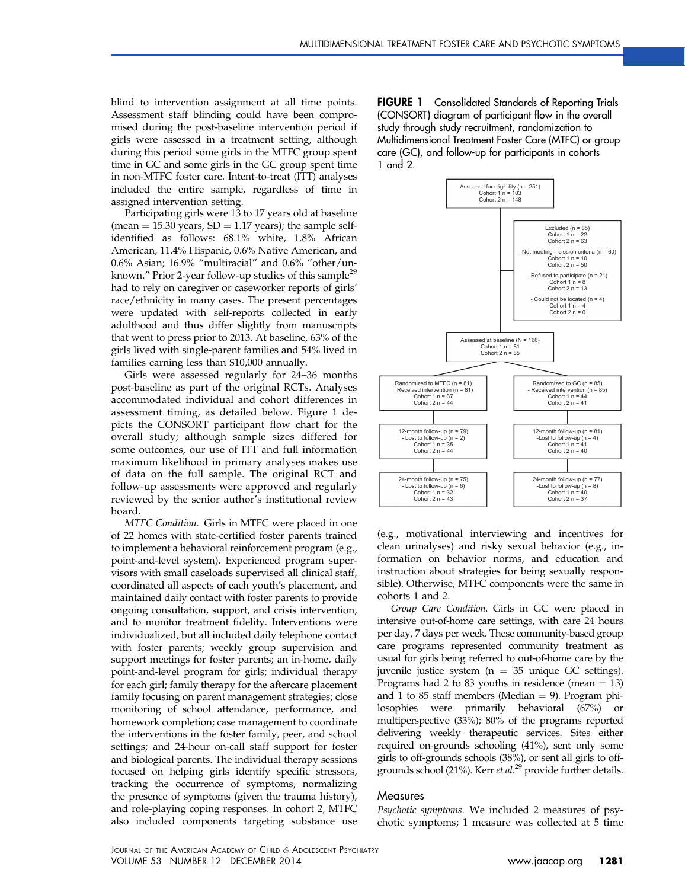blind to intervention assignment at all time points. Assessment staff blinding could have been compromised during the post-baseline intervention period if girls were assessed in a treatment setting, although during this period some girls in the MTFC group spent time in GC and some girls in the GC group spent time in non-MTFC foster care. Intent-to-treat (ITT) analyses included the entire sample, regardless of time in assigned intervention setting.

Participating girls were 13 to 17 years old at baseline (mean  $= 15.30$  years,  $SD = 1.17$  years); the sample selfidentified as follows: 68.1% white, 1.8% African American, 11.4% Hispanic, 0.6% Native American, and 0.6% Asian; 16.9% "multiracial" and 0.6% "other/un-known." Prior 2-year follow-up studies of this sample<sup>[29](#page-7-0)</sup> had to rely on caregiver or caseworker reports of girls' race/ethnicity in many cases. The present percentages were updated with self-reports collected in early adulthood and thus differ slightly from manuscripts that went to press prior to 2013. At baseline, 63% of the girls lived with single-parent families and 54% lived in families earning less than \$10,000 annually.

Girls were assessed regularly for 24–36 months post-baseline as part of the original RCTs. Analyses accommodated individual and cohort differences in assessment timing, as detailed below. Figure 1 depicts the CONSORT participant flow chart for the overall study; although sample sizes differed for some outcomes, our use of ITT and full information maximum likelihood in primary analyses makes use of data on the full sample. The original RCT and follow-up assessments were approved and regularly reviewed by the senior author's institutional review board.

MTFC Condition. Girls in MTFC were placed in one of 22 homes with state-certified foster parents trained to implement a behavioral reinforcement program (e.g., point-and-level system). Experienced program supervisors with small caseloads supervised all clinical staff, coordinated all aspects of each youth's placement, and maintained daily contact with foster parents to provide ongoing consultation, support, and crisis intervention, and to monitor treatment fidelity. Interventions were individualized, but all included daily telephone contact with foster parents; weekly group supervision and support meetings for foster parents; an in-home, daily point-and-level program for girls; individual therapy for each girl; family therapy for the aftercare placement family focusing on parent management strategies; close monitoring of school attendance, performance, and homework completion; case management to coordinate the interventions in the foster family, peer, and school settings; and 24-hour on-call staff support for foster and biological parents. The individual therapy sessions focused on helping girls identify specific stressors, tracking the occurrence of symptoms, normalizing the presence of symptoms (given the trauma history), and role-playing coping responses. In cohort 2, MTFC also included components targeting substance use **FIGURE 1** Consolidated Standards of Reporting Trials (CONSORT) diagram of participant flow in the overall study through study recruitment, randomization to Multidimensional Treatment Foster Care (MTFC) or group care (GC), and follow-up for participants in cohorts 1 and 2.



(e.g., motivational interviewing and incentives for clean urinalyses) and risky sexual behavior (e.g., information on behavior norms, and education and instruction about strategies for being sexually responsible). Otherwise, MTFC components were the same in cohorts 1 and 2.

Group Care Condition. Girls in GC were placed in intensive out-of-home care settings, with care 24 hours per day, 7 days per week. These community-based group care programs represented community treatment as usual for girls being referred to out-of-home care by the juvenile justice system ( $n = 35$  unique GC settings). Programs had 2 to 83 youths in residence (mean  $= 13$ ) and 1 to 85 staff members (Median  $= 9$ ). Program philosophies were primarily behavioral (67%) or multiperspective (33%); 80% of the programs reported delivering weekly therapeutic services. Sites either required on-grounds schooling (41%), sent only some girls to off-grounds schools (38%), or sent all girls to off-grounds school (21%). Kerr et al.<sup>[29](#page-7-0)</sup> provide further details.

#### **Measures**

Psychotic symptoms. We included 2 measures of psychotic symptoms; 1 measure was collected at 5 time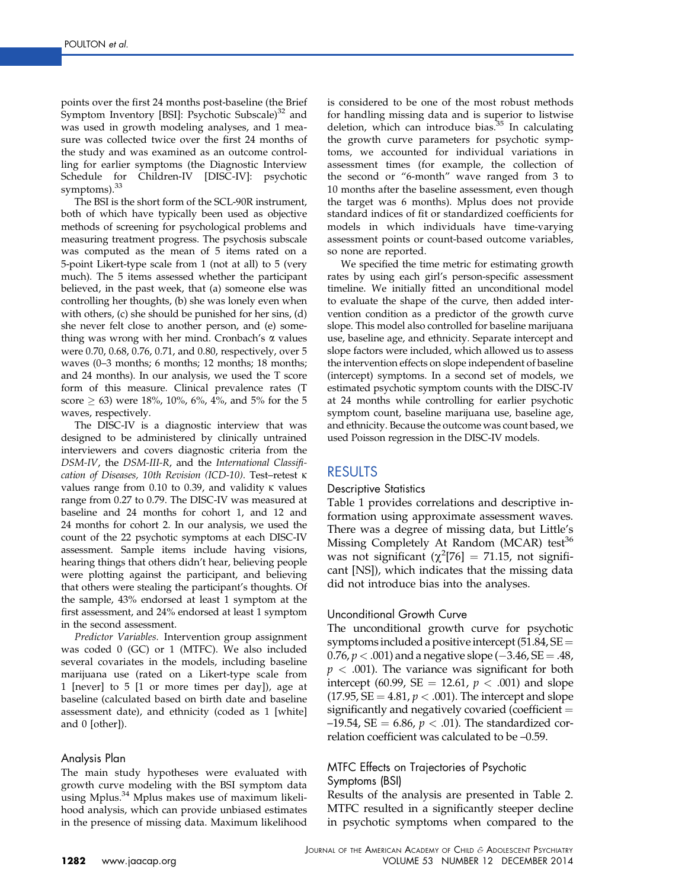points over the first 24 months post-baseline (the Brief Symptom Inventory [BSI]: Psychotic Subscale)<sup>[32](#page-7-0)</sup> and was used in growth modeling analyses, and 1 measure was collected twice over the first 24 months of the study and was examined as an outcome controlling for earlier symptoms (the Diagnostic Interview Schedule for Children-IV [DISC-IV]: psychotic symptoms).<sup>[33](#page-7-0)</sup>

The BSI is the short form of the SCL-90R instrument, both of which have typically been used as objective methods of screening for psychological problems and measuring treatment progress. The psychosis subscale was computed as the mean of 5 items rated on a 5-point Likert-type scale from 1 (not at all) to 5 (very much). The 5 items assessed whether the participant believed, in the past week, that (a) someone else was controlling her thoughts, (b) she was lonely even when with others, (c) she should be punished for her sins, (d) she never felt close to another person, and (e) something was wrong with her mind. Cronbach's  $\alpha$  values were 0.70, 0.68, 0.76, 0.71, and 0.80, respectively, over 5 waves (0–3 months; 6 months; 12 months; 18 months; and 24 months). In our analysis, we used the T score form of this measure. Clinical prevalence rates (T score  $\geq 63$ ) were 18%, 10%, 6%, 4%, and 5% for the 5 waves, respectively.

The DISC-IV is a diagnostic interview that was designed to be administered by clinically untrained interviewers and covers diagnostic criteria from the DSM-IV, the DSM-III-R, and the International Classification of Diseases, 10th Revision (ICD-10). Test–retest k values range from  $0.10$  to  $0.39$ , and validity  $\kappa$  values range from 0.27 to 0.79. The DISC-IV was measured at baseline and 24 months for cohort 1, and 12 and 24 months for cohort 2. In our analysis, we used the count of the 22 psychotic symptoms at each DISC-IV assessment. Sample items include having visions, hearing things that others didn't hear, believing people were plotting against the participant, and believing that others were stealing the participant's thoughts. Of the sample, 43% endorsed at least 1 symptom at the first assessment, and 24% endorsed at least 1 symptom in the second assessment.

Predictor Variables. Intervention group assignment was coded 0 (GC) or 1 (MTFC). We also included several covariates in the models, including baseline marijuana use (rated on a Likert-type scale from 1 [never] to 5 [1 or more times per day]), age at baseline (calculated based on birth date and baseline assessment date), and ethnicity (coded as 1 [white] and 0 [other]).

#### Analysis Plan

The main study hypotheses were evaluated with growth curve modeling with the BSI symptom data using Mplus.<sup>[34](#page-7-0)</sup> Mplus makes use of maximum likelihood analysis, which can provide unbiased estimates in the presence of missing data. Maximum likelihood is considered to be one of the most robust methods for handling missing data and is superior to listwise deletion, which can introduce bias. $35$  In calculating the growth curve parameters for psychotic symptoms, we accounted for individual variations in assessment times (for example, the collection of the second or "6-month" wave ranged from 3 to 10 months after the baseline assessment, even though the target was 6 months). Mplus does not provide standard indices of fit or standardized coefficients for models in which individuals have time-varying assessment points or count-based outcome variables, so none are reported.

We specified the time metric for estimating growth rates by using each girl's person-specific assessment timeline. We initially fitted an unconditional model to evaluate the shape of the curve, then added intervention condition as a predictor of the growth curve slope. This model also controlled for baseline marijuana use, baseline age, and ethnicity. Separate intercept and slope factors were included, which allowed us to assess the intervention effects on slope independent of baseline (intercept) symptoms. In a second set of models, we estimated psychotic symptom counts with the DISC-IV at 24 months while controlling for earlier psychotic symptom count, baseline marijuana use, baseline age, and ethnicity. Because the outcome was count based, we used Poisson regression in the DISC-IV models.

## RESULTS

#### Descriptive Statistics

[Table 1](#page-4-0) provides correlations and descriptive information using approximate assessment waves. There was a degree of missing data, but Little's Missing Completely At Random (MCAR) test<sup>[36](#page-7-0)</sup> was not significant  $(\chi^2[76] = 71.15$ , not significant [NS]), which indicates that the missing data did not introduce bias into the analyses.

#### Unconditional Growth Curve

The unconditional growth curve for psychotic symptoms included a positive intercept  $(51.84, SE =$ 0.76,  $p < .001$ ) and a negative slope (-3.46, SE = .48,  $p < .001$ ). The variance was significant for both intercept (60.99, SE = 12.61,  $p < .001$ ) and slope  $(17.95, SE = 4.81, p < .001)$ . The intercept and slope significantly and negatively covaried (coefficient  $=$  $-19.54$ , SE = 6.86,  $p < .01$ ). The standardized correlation coefficient was calculated to be –0.59.

## MTFC Effects on Trajectories of Psychotic Symptoms (BSI)

Results of the analysis are presented in [Table 2.](#page-5-0) MTFC resulted in a significantly steeper decline in psychotic symptoms when compared to the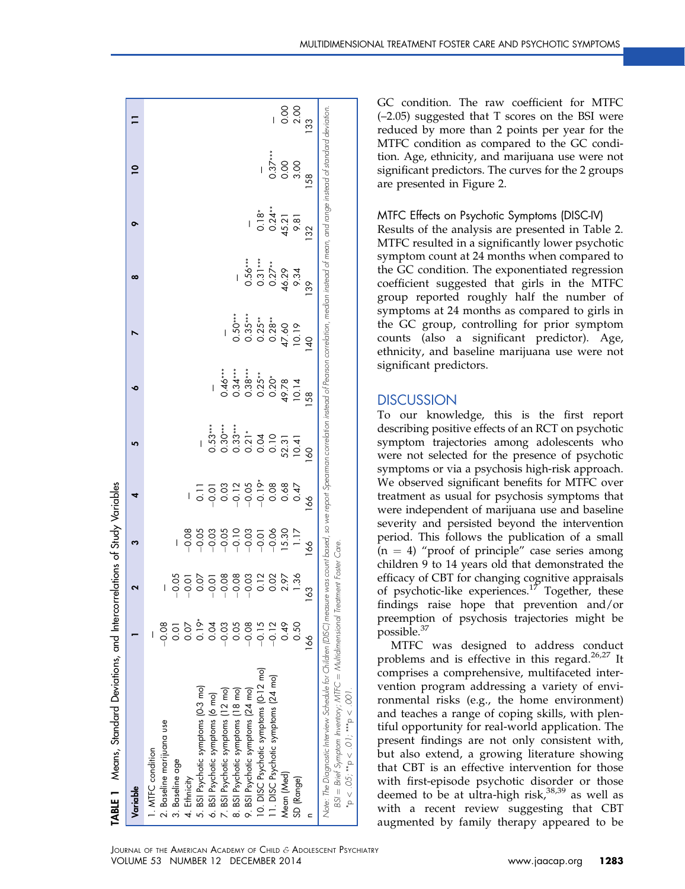<span id="page-4-0"></span>

| <b>TABLE 1</b> Means, Standard Deviations, and Intercorrelations of Study Variables                                                                                                                                                                                                                                                               |         |                                                                                                                                                                                                                                                                                                                                                                                      |                |                                                                                                                                                                                                                                                                                                                      |                |    |                                                                      |                                                   |                                              |                           |                     |
|---------------------------------------------------------------------------------------------------------------------------------------------------------------------------------------------------------------------------------------------------------------------------------------------------------------------------------------------------|---------|--------------------------------------------------------------------------------------------------------------------------------------------------------------------------------------------------------------------------------------------------------------------------------------------------------------------------------------------------------------------------------------|----------------|----------------------------------------------------------------------------------------------------------------------------------------------------------------------------------------------------------------------------------------------------------------------------------------------------------------------|----------------|----|----------------------------------------------------------------------|---------------------------------------------------|----------------------------------------------|---------------------------|---------------------|
| Variable                                                                                                                                                                                                                                                                                                                                          |         |                                                                                                                                                                                                                                                                                                                                                                                      | ო              | 4                                                                                                                                                                                                                                                                                                                    | 5              | ۰  |                                                                      | ∞                                                 | ᇰ                                            | $\overline{\mathsf{P}}$   |                     |
| 1. MTFC condition                                                                                                                                                                                                                                                                                                                                 |         |                                                                                                                                                                                                                                                                                                                                                                                      |                |                                                                                                                                                                                                                                                                                                                      |                |    |                                                                      |                                                   |                                              |                           |                     |
| 2. Baseline marijuana use                                                                                                                                                                                                                                                                                                                         | 0.08    |                                                                                                                                                                                                                                                                                                                                                                                      |                |                                                                                                                                                                                                                                                                                                                      |                |    |                                                                      |                                                   |                                              |                           |                     |
| 3. Baseline age                                                                                                                                                                                                                                                                                                                                   | 0.01    |                                                                                                                                                                                                                                                                                                                                                                                      |                |                                                                                                                                                                                                                                                                                                                      |                |    |                                                                      |                                                   |                                              |                           |                     |
| 4. Ethnicity                                                                                                                                                                                                                                                                                                                                      | 0.07    |                                                                                                                                                                                                                                                                                                                                                                                      |                |                                                                                                                                                                                                                                                                                                                      |                |    |                                                                      |                                                   |                                              |                           |                     |
| 5. BSI Psychotic symptoms (0-3 mo)                                                                                                                                                                                                                                                                                                                | $0.19*$ | $8\overline{0}$ $\overline{0}$ $\overline{0}$ $\overline{0}$ $\overline{0}$ $\overline{0}$ $\overline{0}$ $\overline{0}$ $\overline{0}$ $\overline{0}$ $\overline{0}$ $\overline{0}$ $\overline{0}$ $\overline{0}$ $\overline{0}$ $\overline{0}$ $\overline{0}$ $\overline{0}$ $\overline{0}$ $\overline{0}$ $\overline{0}$ $\overline{0}$ $\overline{0}$ $\overline{0}$ $\overline$ |                |                                                                                                                                                                                                                                                                                                                      |                |    |                                                                      |                                                   |                                              |                           |                     |
| 6. BSI Psychotic symptoms (6 mo)                                                                                                                                                                                                                                                                                                                  | 0.04    |                                                                                                                                                                                                                                                                                                                                                                                      |                |                                                                                                                                                                                                                                                                                                                      |                |    |                                                                      |                                                   |                                              |                           |                     |
| 7. BSI Psychotic symptoms (12 mo)                                                                                                                                                                                                                                                                                                                 | $-0.03$ |                                                                                                                                                                                                                                                                                                                                                                                      |                |                                                                                                                                                                                                                                                                                                                      |                |    |                                                                      |                                                   |                                              |                           |                     |
| 8. BSI Psychotic symptoms (18 mo)                                                                                                                                                                                                                                                                                                                 | 0.05    |                                                                                                                                                                                                                                                                                                                                                                                      |                |                                                                                                                                                                                                                                                                                                                      |                |    |                                                                      |                                                   |                                              |                           |                     |
| 9. BSI Psychotic symptoms (24 mo)                                                                                                                                                                                                                                                                                                                 | $-0.08$ |                                                                                                                                                                                                                                                                                                                                                                                      |                |                                                                                                                                                                                                                                                                                                                      |                |    |                                                                      |                                                   |                                              |                           |                     |
| 10. DISC Psychotic symptoms (0-12 mo)                                                                                                                                                                                                                                                                                                             | $-0.15$ |                                                                                                                                                                                                                                                                                                                                                                                      |                |                                                                                                                                                                                                                                                                                                                      |                |    |                                                                      |                                                   |                                              |                           |                     |
| 11. DISC Psychotic symptoms (24 mo)                                                                                                                                                                                                                                                                                                               | $-0.12$ | $0.02$<br>2.97                                                                                                                                                                                                                                                                                                                                                                       |                | $\begin{array}{cccccccccc} 1 & 2 & 3 & 3 & 3 & 3 & 3 & 3 & 3 & 3 & 3 & 4 & 3 & 4 & 3 & 4 & 3 & 4 & 3 & 4 & 3 & 4 & 3 & 4 & 3 & 4 & 3 & 4 & 3 & 4 & 3 & 4 & 3 & 4 & 3 & 4 & 3 & 4 & 3 & 4 & 3 & 4 & 3 & 4 & 3 & 4 & 3 & 4 & 3 & 4 & 3 & 4 & 3 & 4 & 3 & 4 & 3 & 4 & 3 & 4 & 3 & 4 & 3 & 4 & 3 & 4 & 3 & 4 & 3 & 4 & $ |                |    | $0.50***$<br>$0.35***$<br>$0.25***$<br>$0.28***$<br>$0.19$<br>$0.19$ | $0.56***$<br>0.31 ***<br>0.27 **<br>46.29<br>9.34 | $0.18^*$<br>$0.24^{**}$<br>$45.21$<br>$9.81$ | $0.37***$<br>0.00<br>3.00 |                     |
| Mean (Med)                                                                                                                                                                                                                                                                                                                                        | 0.49    |                                                                                                                                                                                                                                                                                                                                                                                      | 15.30          |                                                                                                                                                                                                                                                                                                                      |                |    |                                                                      |                                                   |                                              |                           | $\frac{0.00}{0.00}$ |
| SD (Range)                                                                                                                                                                                                                                                                                                                                        | 0.50    | $\frac{36}{2}$                                                                                                                                                                                                                                                                                                                                                                       |                |                                                                                                                                                                                                                                                                                                                      |                |    |                                                                      |                                                   |                                              |                           |                     |
|                                                                                                                                                                                                                                                                                                                                                   | 166     | $\frac{8}{3}$                                                                                                                                                                                                                                                                                                                                                                        | $\frac{8}{10}$ | 89                                                                                                                                                                                                                                                                                                                   | $\overline{6}$ | 58 |                                                                      | SS                                                | 32                                           | 58                        | က္က                 |
| Nate: The Diagnostic Interview Schedule for Childten [DISC] measure was count based, so we report Spearman correlation instead of Pearson correlation, median instead of mean, and range instead of sandard deviation<br>BSI = Brief Symptom Inventory; MTFC = Multidimensional Treatment Foster Care.<br>$p > 0.05$ , $p > 0.01$ , $p > 0.001$ . |         |                                                                                                                                                                                                                                                                                                                                                                                      |                |                                                                                                                                                                                                                                                                                                                      |                |    |                                                                      |                                                   |                                              |                           |                     |
|                                                                                                                                                                                                                                                                                                                                                   |         |                                                                                                                                                                                                                                                                                                                                                                                      |                |                                                                                                                                                                                                                                                                                                                      |                |    |                                                                      |                                                   |                                              |                           |                     |

GC condition. The raw coefficient for MTFC (–2.05) suggested that T scores on the BSI were reduced by more than 2 points per year for the MTFC condition as compared to the GC condition. Age, ethnicity, and marijuana use were not significant predictors. The curves for the 2 groups are presented in [Figure 2.](#page-6-0)

#### MTFC Effects on Psychotic Symptoms (DISC-IV)

Results of the analysis are presented in [Table 2.](#page-5-0) MTFC resulted in a significantly lower psychotic symptom count at 24 months when compared to the GC condition. The exponentiated regression coefficient suggested that girls in the MTFC group reported roughly half the number of symptoms at 24 months as compared to girls in the GC group, controlling for prior symptom counts (also a significant predictor). Age, ethnicity, and baseline marijuana use were not significant predictors.

### **DISCUSSION**

To our knowledge, this is the first report describing positive effects of an RCT on psychotic symptom trajectories among adolescents who were not selected for the presence of psychotic symptoms or via a psychosis high-risk approach. We observed significant benefits for MTFC over treatment as usual for psychosis symptoms that were independent of marijuana use and baseline severity and persisted beyond the intervention period. This follows the publication of a small  $(n = 4)$  "proof of principle" case series among children 9 to 14 years old that demonstrated the efficacy of CBT for changing cognitive appraisals of psychotic-like experiences.<sup>[17](#page-7-0)</sup> Together, these findings raise hope that prevention and/or preemption of psychosis trajectories might be possible.<sup>[37](#page-7-0)</sup>

MTFC was designed to address conduct problems and is effective in this regard.<sup>[26,27](#page-7-0)</sup> It comprises a comprehensive, multifaceted intervention program addressing a variety of environmental risks (e.g., the home environment) and teaches a range of coping skills, with plentiful opportunity for real-world application. The present findings are not only consistent with, but also extend, a growing literature showing that CBT is an effective intervention for those with first-episode psychotic disorder or those deemed to be at ultra-high risk, $38,39$  as well as with a recent review suggesting that CBT augmented by family therapy appeared to be

 $.001$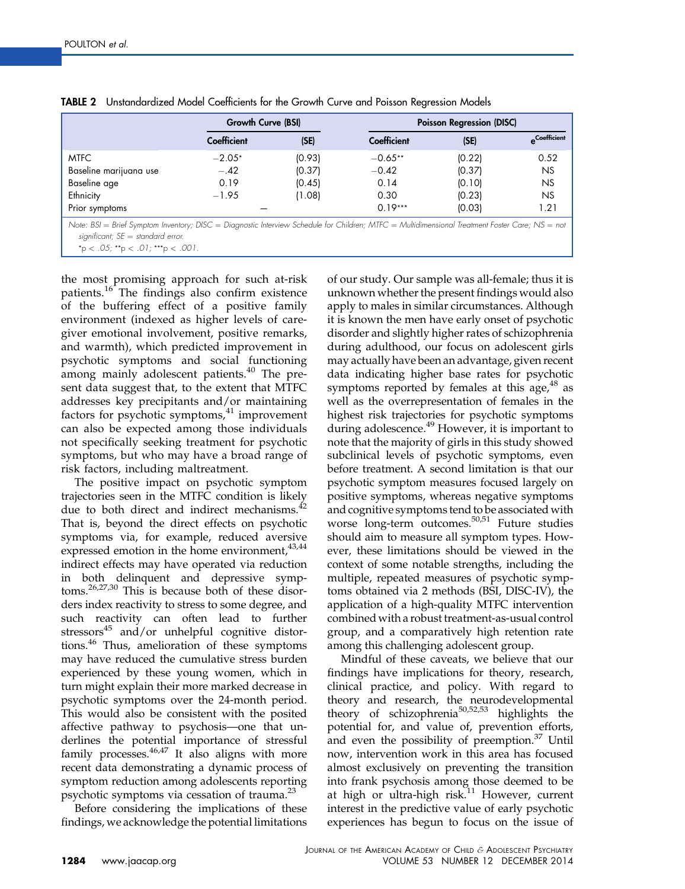|                                                                                                                                                 | Growth Curve (BSI) |        | <b>Poisson Regression (DISC)</b> |        |                      |  |  |
|-------------------------------------------------------------------------------------------------------------------------------------------------|--------------------|--------|----------------------------------|--------|----------------------|--|--|
|                                                                                                                                                 | <b>Coefficient</b> | (SE)   | Coefficient                      | (SE)   | <b>A</b> Coefficient |  |  |
| <b>MTFC</b>                                                                                                                                     | $-2.05*$           | (0.93) | $-0.65**$                        | (0.22) | 0.52                 |  |  |
| Baseline marijuana use                                                                                                                          | $-.42$             | (0.37) | $-0.42$                          | (0.37) | <b>NS</b>            |  |  |
| Baseline age                                                                                                                                    | 0.19               | (0.45) | 0.14                             | (0.10) | <b>NS</b>            |  |  |
| Ethnicity                                                                                                                                       | $-1.95$            | (1.08) | 0.30                             | (0.23) | NS.                  |  |  |
| Prior symptoms                                                                                                                                  |                    |        | $0.19***$                        | (0.03) | 1.21                 |  |  |
| Note: BSI = Brief Symptom Inventory; DISC = Diagnostic Interview Schedule for Children; MTFC = Multidimensional Treatment Foster Care; NS = not |                    |        |                                  |        |                      |  |  |

<span id="page-5-0"></span>

|  | TABLE 2 Unstandardized Model Coefficients for the Growth Curve and Poisson Regression Models |  |  |  |  |  |
|--|----------------------------------------------------------------------------------------------|--|--|--|--|--|
|--|----------------------------------------------------------------------------------------------|--|--|--|--|--|

Note: BSI  $=$  Brief Symptom Inventory; DISC  $=$  Diagnostic Interview Schedule for Children; MTFC  $=$  Multidimensional Treatment Foster Care; NS  $=$  not significant;  $SE = standard error$ .

 $*$ p < .05;  $*$  $*$ p < .01;  $*$  $*$  $*$ p < .001

the most promising approach for such at-risk patients.<sup>[16](#page-7-0)</sup> The findings also confirm existence of the buffering effect of a positive family environment (indexed as higher levels of caregiver emotional involvement, positive remarks, and warmth), which predicted improvement in psychotic symptoms and social functioning among mainly adolescent patients.<sup>[40](#page-7-0)</sup> The present data suggest that, to the extent that MTFC addresses key precipitants and/or maintaining factors for psychotic symptoms, $41$  improvement can also be expected among those individuals not specifically seeking treatment for psychotic symptoms, but who may have a broad range of risk factors, including maltreatment.

The positive impact on psychotic symptom trajectories seen in the MTFC condition is likely due to both direct and indirect mechanisms.<sup>42</sup> That is, beyond the direct effects on psychotic symptoms via, for example, reduced aversive expressed emotion in the home environment,  $43,44$ indirect effects may have operated via reduction in both delinquent and depressive symptoms.[26,27,30](#page-7-0) This is because both of these disorders index reactivity to stress to some degree, and such reactivity can often lead to further stressors<sup>[45](#page-8-0)</sup> and/or unhelpful cognitive distortions.[46](#page-8-0) Thus, amelioration of these symptoms may have reduced the cumulative stress burden experienced by these young women, which in turn might explain their more marked decrease in psychotic symptoms over the 24-month period. This would also be consistent with the posited affective pathway to psychosis—one that underlines the potential importance of stressful family processes. $46,47$  It also aligns with more recent data demonstrating a dynamic process of symptom reduction among adolescents reporting psychotic symptoms via cessation of trauma.<sup>[23](#page-7-0)</sup>

Before considering the implications of these findings, we acknowledge the potential limitations of our study. Our sample was all-female; thus it is unknown whether the present findings would also apply to males in similar circumstances. Although it is known the men have early onset of psychotic disorder and slightly higher rates of schizophrenia during adulthood, our focus on adolescent girls may actually have been an advantage, given recent data indicating higher base rates for psychotic symptoms reported by females at this age, $48$  as well as the overrepresentation of females in the highest risk trajectories for psychotic symptoms during adolescence.<sup>[49](#page-8-0)</sup> However, it is important to note that the majority of girls in this study showed subclinical levels of psychotic symptoms, even before treatment. A second limitation is that our psychotic symptom measures focused largely on positive symptoms, whereas negative symptoms and cognitive symptoms tend to be associated with worse long-term outcomes[.50,51](#page-8-0) Future studies should aim to measure all symptom types. However, these limitations should be viewed in the context of some notable strengths, including the multiple, repeated measures of psychotic symptoms obtained via 2 methods (BSI, DISC-IV), the application of a high-quality MTFC intervention combined with a robust treatment-as-usual control group, and a comparatively high retention rate among this challenging adolescent group.

Mindful of these caveats, we believe that our findings have implications for theory, research, clinical practice, and policy. With regard to theory and research, the neurodevelopmental theory of schizophrenia[50,52,53](#page-8-0) highlights the potential for, and value of, prevention efforts, and even the possibility of preemption.<sup>[37](#page-7-0)</sup> Until now, intervention work in this area has focused almost exclusively on preventing the transition into frank psychosis among those deemed to be at high or ultra-high risk.<sup>[11](#page-7-0)</sup> However, current interest in the predictive value of early psychotic experiences has begun to focus on the issue of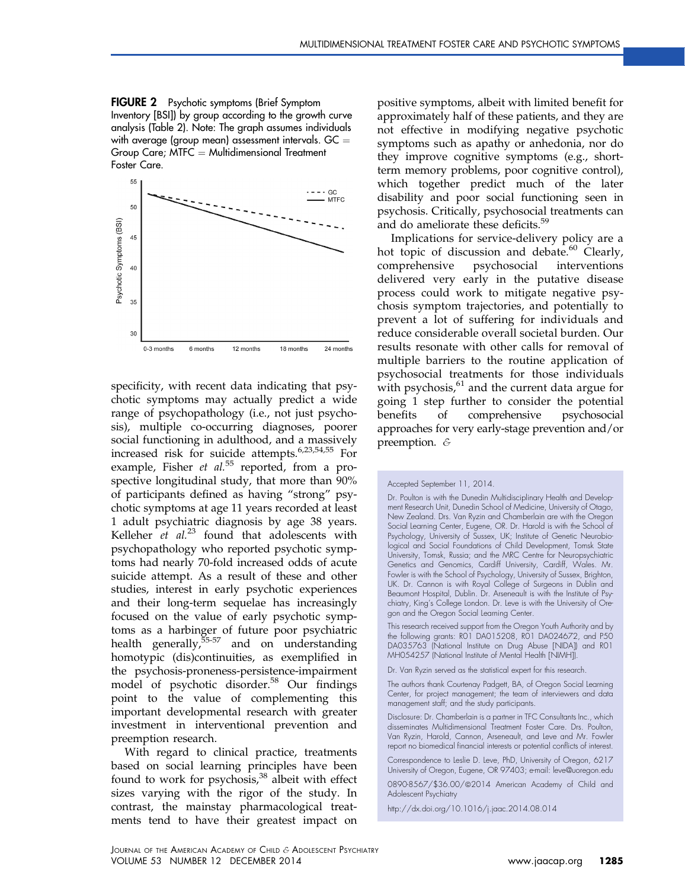<span id="page-6-0"></span>FIGURE 2 Psychotic symptoms (Brief Symptom Inventory [BSI]) by group according to the growth curve analysis [\(Table 2](#page-5-0)). Note: The graph assumes individuals with average (group mean) assessment intervals. GC  $=$ Group Care;  $MTC = Multidimensional Treatment$ Foster Care.



specificity, with recent data indicating that psychotic symptoms may actually predict a wide range of psychopathology (i.e., not just psychosis), multiple co-occurring diagnoses, poorer social functioning in adulthood, and a massively increased risk for suicide attempts.[6,23,54,55](#page-7-0) For example, Fisher et  $al.^{55}$  $al.^{55}$  $al.^{55}$  reported, from a prospective longitudinal study, that more than 90% of participants defined as having "strong" psychotic symptoms at age 11 years recorded at least 1 adult psychiatric diagnosis by age 38 years. Kelleher  $et$   $al.^{23}$  $al.^{23}$  $al.^{23}$  found that adolescents with psychopathology who reported psychotic symptoms had nearly 70-fold increased odds of acute suicide attempt. As a result of these and other studies, interest in early psychotic experiences and their long-term sequelae has increasingly focused on the value of early psychotic symptoms as a harbinger of future poor psychiatric health generally, $55-57$  and on understanding homotypic (dis)continuities, as exemplified in the psychosis-proneness-persistence-impairment model of psychotic disorder.<sup>[58](#page-8-0)</sup> Our findings point to the value of complementing this important developmental research with greater investment in interventional prevention and preemption research.

With regard to clinical practice, treatments based on social learning principles have been found to work for psychosis, $38$  albeit with effect sizes varying with the rigor of the study. In contrast, the mainstay pharmacological treatments tend to have their greatest impact on

positive symptoms, albeit with limited benefit for approximately half of these patients, and they are not effective in modifying negative psychotic symptoms such as apathy or anhedonia, nor do they improve cognitive symptoms (e.g., shortterm memory problems, poor cognitive control), which together predict much of the later disability and poor social functioning seen in psychosis. Critically, psychosocial treatments can and do ameliorate these deficits.<sup>[59](#page-8-0)</sup>

Implications for service-delivery policy are a hot topic of discussion and debate.<sup>[60](#page-8-0)</sup> Clearly, comprehensive psychosocial interventions delivered very early in the putative disease process could work to mitigate negative psychosis symptom trajectories, and potentially to prevent a lot of suffering for individuals and reduce considerable overall societal burden. Our results resonate with other calls for removal of multiple barriers to the routine application of psychosocial treatments for those individuals with psychosis, $61$  and the current data argue for going 1 step further to consider the potential benefits of comprehensive psychosocial approaches for very early-stage prevention and/or preemption. &

Dr. Poulton is with the Dunedin Multidisciplinary Health and Development Research Unit, Dunedin School of Medicine, University of Otago, New Zealand. Drs. Van Ryzin and Chamberlain are with the Oregon Social Learning Center, Eugene, OR. Dr. Harold is with the School of Psychology, University of Sussex, UK; Institute of Genetic Neurobiological and Social Foundations of Child Development, Tomsk State University, Tomsk, Russia; and the MRC Centre for Neuropsychiatric Genetics and Genomics, Cardiff University, Cardiff, Wales. Mr. Fowler is with the School of Psychology, University of Sussex, Brighton, UK. Dr. Cannon is with Royal College of Surgeons in Dublin and Beaumont Hospital, Dublin. Dr. Arseneault is with the Institute of Psychiatry, King's College London. Dr. Leve is with the University of Oregon and the Oregon Social Learning Center.

This research received support from the Oregon Youth Authority and by the following grants: RO1 DA015208, RO1 DA024672, and P50 DA035763 (National Institute on Drug Abuse [NIDA]) and R01 MH054257 (National Institute of Mental Health [NIMH]).

Dr. Van Ryzin served as the statistical expert for this research.

The authors thank Courtenay Padgett, BA, of Oregon Social Learning Center, for project management; the team of interviewers and data management staff; and the study participants.

Disclosure: Dr. Chamberlain is a partner in TFC Consultants Inc., which disseminates Multidimensional Treatment Foster Care. Drs. Poulton, Van Ryzin, Harold, Cannon, Arseneault, and Leve and Mr. Fowler report no biomedical financial interests or potential conflicts of interest.

Correspondence to Leslie D. Leve, PhD, University of Oregon, 6217 University of Oregon, Eugene, OR 97403; e-mail: [leve@uoregon.edu](mailto:leve@uoregon.edu)

0890-8567/\$36.00/@2014 American Academy of Child and Adolescent Psychiatry

<http://dx.doi.org/10.1016/j.jaac.2014.08.014>

Accepted September 11, 2014.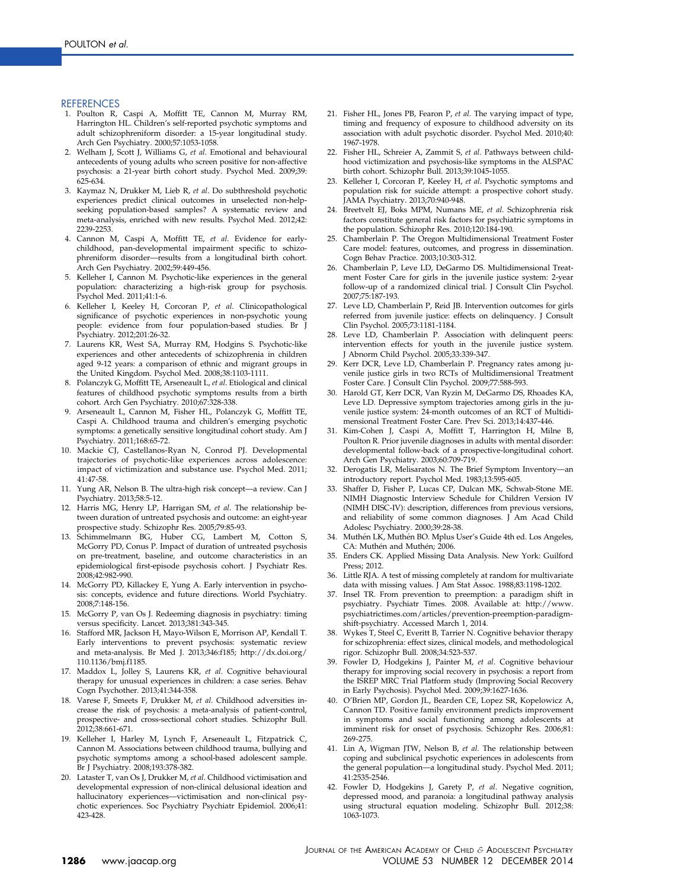#### <span id="page-7-0"></span>REFERENCES

- 1. Poulton R, Caspi A, Moffitt TE, Cannon M, Murray RM, Harrington HL. Children's self-reported psychotic symptoms and adult schizophreniform disorder: a 15-year longitudinal study. Arch Gen Psychiatry. 2000;57:1053-1058.
- 2. Welham J, Scott J, Williams G, et al. Emotional and behavioural antecedents of young adults who screen positive for non-affective psychosis: a 21-year birth cohort study. Psychol Med. 2009;39: 625-634.
- 3. Kaymaz N, Drukker M, Lieb R, et al. Do subthreshold psychotic experiences predict clinical outcomes in unselected non-helpseeking population-based samples? A systematic review and meta-analysis, enriched with new results. Psychol Med. 2012;42: 2239-2253.
- 4. Cannon M, Caspi A, Moffitt TE, et al. Evidence for earlychildhood, pan-developmental impairment specific to schizophreniform disorder—results from a longitudinal birth cohort. Arch Gen Psychiatry. 2002;59:449-456.
- 5. Kelleher I, Cannon M. Psychotic-like experiences in the general population: characterizing a high-risk group for psychosis. Psychol Med. 2011;41:1-6.
- 6. Kelleher I, Keeley H, Corcoran P, et al. Clinicopathological significance of psychotic experiences in non-psychotic young people: evidence from four population-based studies. Br J Psychiatry. 2012;201:26-32.
- 7. Laurens KR, West SA, Murray RM, Hodgins S. Psychotic-like experiences and other antecedents of schizophrenia in children aged 9-12 years: a comparison of ethnic and migrant groups in the United Kingdom. Psychol Med. 2008;38:1103-1111.
- 8. Polanczyk G, Moffitt TE, Arseneault L, et al. Etiological and clinical features of childhood psychotic symptoms results from a birth cohort. Arch Gen Psychiatry. 2010;67:328-338.
- 9. Arseneault L, Cannon M, Fisher HL, Polanczyk G, Moffitt TE, Caspi A. Childhood trauma and children's emerging psychotic symptoms: a genetically sensitive longitudinal cohort study. Am J Psychiatry. 2011;168:65-72.
- 10. Mackie CJ, Castellanos-Ryan N, Conrod PJ. Developmental trajectories of psychotic-like experiences across adolescence: impact of victimization and substance use. Psychol Med. 2011; 41:47-58.
- 11. Yung AR, Nelson B. The ultra-high risk concept—a review. Can J Psychiatry. 2013;58:5-12.
- 12. Harris MG, Henry LP, Harrigan SM, et al. The relationship between duration of untreated psychosis and outcome: an eight-year prospective study. Schizophr Res. 2005;79:85-93.
- 13. Schimmelmann BG, Huber CG, Lambert M, Cotton S, McGorry PD, Conus P. Impact of duration of untreated psychosis on pre-treatment, baseline, and outcome characteristics in an epidemiological first-episode psychosis cohort. J Psychiatr Res. 2008;42:982-990.
- 14. McGorry PD, Killackey E, Yung A. Early intervention in psychosis: concepts, evidence and future directions. World Psychiatry. 2008;7:148-156.
- 15. McGorry P, van Os J. Redeeming diagnosis in psychiatry: timing versus specificity. Lancet. 2013;381:343-345.
- 16. Stafford MR, Jackson H, Mayo-Wilson E, Morrison AP, Kendall T. Early interventions to prevent psychosis: systematic review and meta-analysis. Br Med J. 2013;346:f185; [http://dx.doi.org/](http://dx.doi.org/110.1136/bmj.f1185) [110.1136/bmj.f1185.](http://dx.doi.org/110.1136/bmj.f1185)
- 17. Maddox L, Jolley S, Laurens KR, et al. Cognitive behavioural therapy for unusual experiences in children: a case series. Behav Cogn Psychother. 2013;41:344-358.
- 18. Varese F, Smeets F, Drukker M, et al. Childhood adversities increase the risk of psychosis: a meta-analysis of patient-control, prospective- and cross-sectional cohort studies. Schizophr Bull. 2012;38:661-671.
- 19. Kelleher I, Harley M, Lynch F, Arseneault L, Fitzpatrick C, Cannon M. Associations between childhood trauma, bullying and psychotic symptoms among a school-based adolescent sample. Br J Psychiatry. 2008;193:378-382.
- 20. Lataster T, van Os J, Drukker M, et al. Childhood victimisation and developmental expression of non-clinical delusional ideation and hallucinatory experiences—victimisation and non-clinical psychotic experiences. Soc Psychiatry Psychiatr Epidemiol. 2006;41: 423-428.
- 21. Fisher HL, Jones PB, Fearon P, et al. The varying impact of type, timing and frequency of exposure to childhood adversity on its association with adult psychotic disorder. Psychol Med. 2010;40: 1967-1978.
- 22. Fisher HL, Schreier A, Zammit S, et al. Pathways between childhood victimization and psychosis-like symptoms in the ALSPAC birth cohort. Schizophr Bull. 2013;39:1045-1055.
- 23. Kelleher I, Corcoran P, Keeley H, et al. Psychotic symptoms and population risk for suicide attempt: a prospective cohort study. JAMA Psychiatry. 2013;70:940-948.
- 24. Breetvelt EJ, Boks MPM, Numans ME, et al. Schizophrenia risk factors constitute general risk factors for psychiatric symptoms in the population. Schizophr Res. 2010;120:184-190.
- 25. Chamberlain P. The Oregon Multidimensional Treatment Foster Care model: features, outcomes, and progress in dissemination. Cogn Behav Practice. 2003;10:303-312.
- 26. Chamberlain P, Leve LD, DeGarmo DS. Multidimensional Treatment Foster Care for girls in the juvenile justice system: 2-year follow-up of a randomized clinical trial. J Consult Clin Psychol. 2007;75:187-193.
- 27. Leve LD, Chamberlain P, Reid JB. Intervention outcomes for girls referred from juvenile justice: effects on delinquency. J Consult Clin Psychol. 2005;73:1181-1184.
- 28. Leve LD, Chamberlain P. Association with delinquent peers: intervention effects for youth in the juvenile justice system. J Abnorm Child Psychol. 2005;33:339-347.
- 29. Kerr DCR, Leve LD, Chamberlain P. Pregnancy rates among juvenile justice girls in two RCTs of Multidimensional Treatment Foster Care. J Consult Clin Psychol. 2009;77:588-593.
- 30. Harold GT, Kerr DCR, Van Ryzin M, DeGarmo DS, Rhoades KA, Leve LD. Depressive symptom trajectories among girls in the juvenile justice system: 24-month outcomes of an RCT of Multidimensional Treatment Foster Care. Prev Sci. 2013;14:437-446.
- 31. Kim-Cohen J, Caspi A, Moffitt T, Harrington H, Milne B, Poulton R. Prior juvenile diagnoses in adults with mental disorder: developmental follow-back of a prospective-longitudinal cohort. Arch Gen Psychiatry. 2003;60:709-719.
- 32. Derogatis LR, Melisaratos N. The Brief Symptom Inventory—an introductory report. Psychol Med. 1983;13:595-605.
- 33. Shaffer D, Fisher P, Lucas CP, Dulcan MK, Schwab-Stone ME. NIMH Diagnostic Interview Schedule for Children Version IV (NIMH DISC-IV): description, differences from previous versions, and reliability of some common diagnoses. J Am Acad Child Adolesc Psychiatry. 2000;39:28-38.
- 34. Muthén LK, Muthén BO. Mplus User's Guide 4th ed. Los Angeles, CA: Muthén and Muthén; 2006.
- 35. Enders CK. Applied Missing Data Analysis. New York: Guilford Press; 2012.
- 36. Little RJA. A test of missing completely at random for multivariate data with missing values. J Am Stat Assoc. 1988;83:1198-1202.
- 37. Insel TR. From prevention to preemption: a paradigm shift in psychiatry. Psychiatr Times. 2008. Available at: [http://www.](http://www.psychiatrictimes.com/articles/prevention-preemption-paradigm-shift-psychiatry) [psychiatrictimes.com/articles/prevention-preemption-paradigm](http://www.psychiatrictimes.com/articles/prevention-preemption-paradigm-shift-psychiatry)[shift-psychiatry](http://www.psychiatrictimes.com/articles/prevention-preemption-paradigm-shift-psychiatry). Accessed March 1, 2014.
- 38. Wykes T, Steel C, Everitt B, Tarrier N. Cognitive behavior therapy for schizophrenia: effect sizes, clinical models, and methodological rigor. Schizophr Bull. 2008;34:523-537.
- Fowler D, Hodgekins J, Painter M, et al. Cognitive behaviour therapy for improving social recovery in psychosis: a report from the ISREP MRC Trial Platform study (Improving Social Recovery in Early Psychosis). Psychol Med. 2009;39:1627-1636.
- 40. O'Brien MP, Gordon JL, Bearden CE, Lopez SR, Kopelowicz A, Cannon TD. Positive family environment predicts improvement in symptoms and social functioning among adolescents at imminent risk for onset of psychosis. Schizophr Res. 2006;81: 269-275.
- 41. Lin A, Wigman JTW, Nelson B, et al. The relationship between coping and subclinical psychotic experiences in adolescents from the general population—a longitudinal study. Psychol Med. 2011; 41:2535-2546.
- 42. Fowler D, Hodgekins J, Garety P, et al. Negative cognition, depressed mood, and paranoia: a longitudinal pathway analysis using structural equation modeling. Schizophr Bull. 2012;38: 1063-1073.